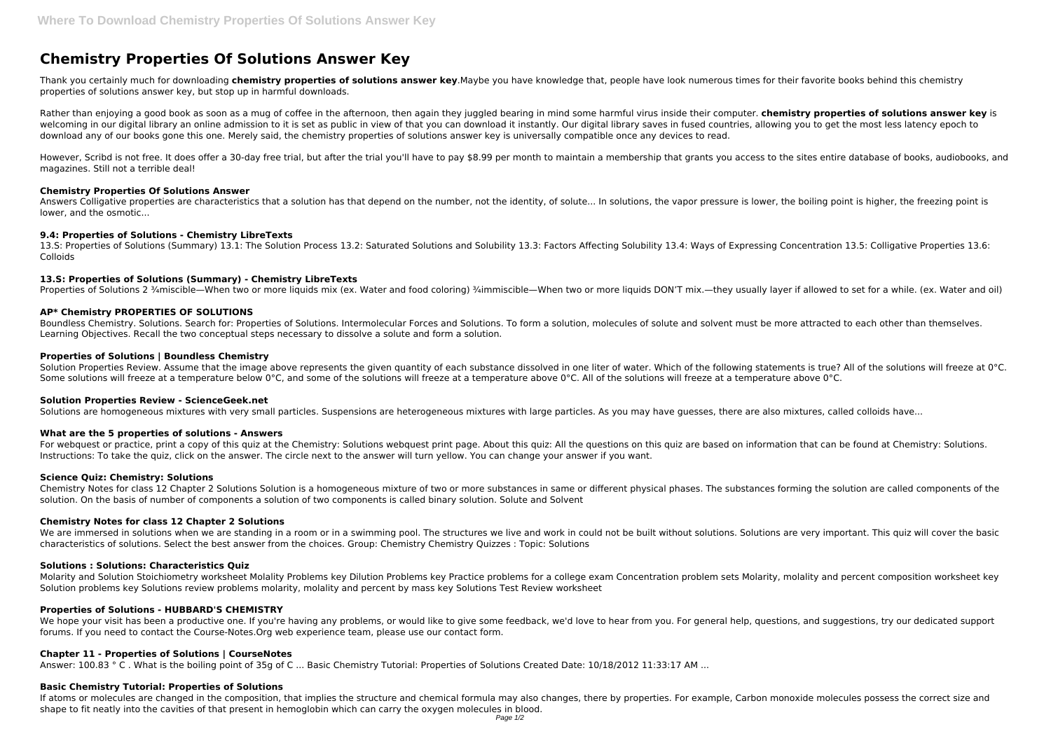# **Chemistry Properties Of Solutions Answer Key**

Thank you certainly much for downloading **chemistry properties of solutions answer key**.Maybe you have knowledge that, people have look numerous times for their favorite books behind this chemistry properties of solutions answer key, but stop up in harmful downloads.

Rather than enjoying a good book as soon as a mug of coffee in the afternoon, then again they juggled bearing in mind some harmful virus inside their computer. **chemistry properties of solutions answer key** is welcoming in our digital library an online admission to it is set as public in view of that you can download it instantly. Our digital library saves in fused countries, allowing you to get the most less latency epoch to download any of our books gone this one. Merely said, the chemistry properties of solutions answer key is universally compatible once any devices to read.

Answers Colligative properties are characteristics that a solution has that depend on the number, not the identity, of solute... In solutions, the vapor pressure is lower, the boiling point is higher, the freezing point is lower, and the osmotic...

However, Scribd is not free. It does offer a 30-day free trial, but after the trial you'll have to pay \$8.99 per month to maintain a membership that grants you access to the sites entire database of books, audiobooks, and magazines. Still not a terrible deal!

#### **Chemistry Properties Of Solutions Answer**

# **9.4: Properties of Solutions - Chemistry LibreTexts**

13.S: Properties of Solutions (Summary) 13.1: The Solution Process 13.2: Saturated Solutions and Solubility 13.3: Factors Affecting Solubility 13.4: Ways of Expressing Concentration 13.5: Colligative Properties 13.6: Colloids

For webquest or practice, print a copy of this quiz at the Chemistry: Solutions webquest print page. About this quiz: All the questions on this quiz are based on information that can be found at Chemistry: Solutions. Instructions: To take the quiz, click on the answer. The circle next to the answer will turn yellow. You can change your answer if you want.

# **13.S: Properties of Solutions (Summary) - Chemistry LibreTexts**

Properties of Solutions 2 ¾miscible—When two or more liquids mix (ex. Water and food coloring) ¾immiscible—When two or more liquids DON'T mix.—they usually layer if allowed to set for a while. (ex. Water and oil)

# **AP\* Chemistry PROPERTIES OF SOLUTIONS**

We are immersed in solutions when we are standing in a room or in a swimming pool. The structures we live and work in could not be built without solutions. Solutions are very important. This quiz will cover the basic characteristics of solutions. Select the best answer from the choices. Group: Chemistry Chemistry Quizzes : Topic: Solutions

Boundless Chemistry. Solutions. Search for: Properties of Solutions. Intermolecular Forces and Solutions. To form a solution, molecules of solute and solvent must be more attracted to each other than themselves. Learning Objectives. Recall the two conceptual steps necessary to dissolve a solute and form a solution.

Molarity and Solution Stoichiometry worksheet Molality Problems key Dilution Problems key Practice problems for a college exam Concentration problem sets Molarity, molality and percent composition worksheet key Solution problems key Solutions review problems molarity, molality and percent by mass key Solutions Test Review worksheet

# **Properties of Solutions | Boundless Chemistry**

Solution Properties Review. Assume that the image above represents the given quantity of each substance dissolved in one liter of water. Which of the following statements is true? All of the solutions will freeze at 0°C. Some solutions will freeze at a temperature below 0°C, and some of the solutions will freeze at a temperature above 0°C. All of the solutions will freeze at a temperature above 0°C.

We hope your visit has been a productive one. If you're having any problems, or would like to give some feedback, we'd love to hear from you. For general help, questions, and suggestions, try our dedicated support forums. If you need to contact the Course-Notes.Org web experience team, please use our contact form.

If atoms or molecules are changed in the composition, that implies the structure and chemical formula may also changes, there by properties. For example, Carbon monoxide molecules possess the correct size and shape to fit neatly into the cavities of that present in hemoglobin which can carry the oxygen molecules in blood.

#### **Solution Properties Review - ScienceGeek.net**

Solutions are homogeneous mixtures with very small particles. Suspensions are heterogeneous mixtures with large particles. As you may have quesses, there are also mixtures, called colloids have...

#### **What are the 5 properties of solutions - Answers**

# **Science Quiz: Chemistry: Solutions**

Chemistry Notes for class 12 Chapter 2 Solutions Solution is a homogeneous mixture of two or more substances in same or different physical phases. The substances forming the solution are called components of the solution. On the basis of number of components a solution of two components is called binary solution. Solute and Solvent

#### **Chemistry Notes for class 12 Chapter 2 Solutions**

#### **Solutions : Solutions: Characteristics Quiz**

# **Properties of Solutions - HUBBARD'S CHEMISTRY**

# **Chapter 11 - Properties of Solutions | CourseNotes**

Answer: 100.83 ° C . What is the boiling point of 35g of C ... Basic Chemistry Tutorial: Properties of Solutions Created Date: 10/18/2012 11:33:17 AM ...

#### **Basic Chemistry Tutorial: Properties of Solutions**